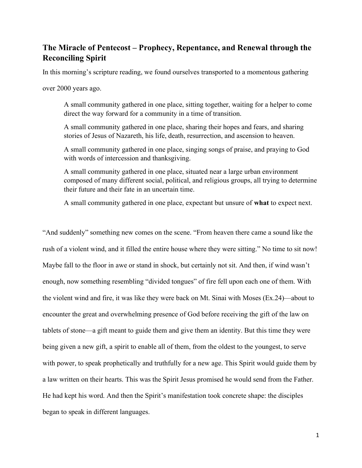## The Miracle of Pentecost – Prophecy, Repentance, and Renewal through the Reconciling Spirit

In this morning's scripture reading, we found ourselves transported to a momentous gathering

over 2000 years ago.

A small community gathered in one place, sitting together, waiting for a helper to come direct the way forward for a community in a time of transition.

A small community gathered in one place, sharing their hopes and fears, and sharing stories of Jesus of Nazareth, his life, death, resurrection, and ascension to heaven.

A small community gathered in one place, singing songs of praise, and praying to God with words of intercession and thanksgiving.

A small community gathered in one place, situated near a large urban environment composed of many different social, political, and religious groups, all trying to determine their future and their fate in an uncertain time.

A small community gathered in one place, expectant but unsure of what to expect next.

"And suddenly" something new comes on the scene. "From heaven there came a sound like the rush of a violent wind, and it filled the entire house where they were sitting." No time to sit now! Maybe fall to the floor in awe or stand in shock, but certainly not sit. And then, if wind wasn't enough, now something resembling "divided tongues" of fire fell upon each one of them. With the violent wind and fire, it was like they were back on Mt. Sinai with Moses (Ex.24)—about to encounter the great and overwhelming presence of God before receiving the gift of the law on tablets of stone—a gift meant to guide them and give them an identity. But this time they were being given a new gift, a spirit to enable all of them, from the oldest to the youngest, to serve with power, to speak prophetically and truthfully for a new age. This Spirit would guide them by a law written on their hearts. This was the Spirit Jesus promised he would send from the Father. He had kept his word. And then the Spirit's manifestation took concrete shape: the disciples began to speak in different languages.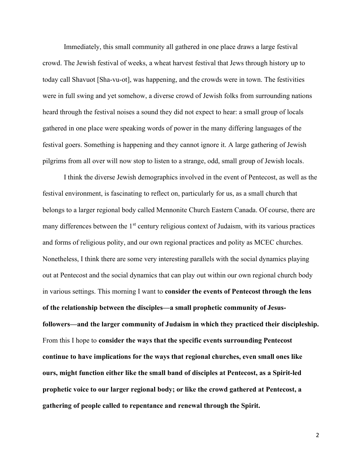Immediately, this small community all gathered in one place draws a large festival crowd. The Jewish festival of weeks, a wheat harvest festival that Jews through history up to today call Shavuot [Sha-vu-ot], was happening, and the crowds were in town. The festivities were in full swing and yet somehow, a diverse crowd of Jewish folks from surrounding nations heard through the festival noises a sound they did not expect to hear: a small group of locals gathered in one place were speaking words of power in the many differing languages of the festival goers. Something is happening and they cannot ignore it. A large gathering of Jewish pilgrims from all over will now stop to listen to a strange, odd, small group of Jewish locals.

I think the diverse Jewish demographics involved in the event of Pentecost, as well as the festival environment, is fascinating to reflect on, particularly for us, as a small church that belongs to a larger regional body called Mennonite Church Eastern Canada. Of course, there are many differences between the  $1<sup>st</sup>$  century religious context of Judaism, with its various practices and forms of religious polity, and our own regional practices and polity as MCEC churches. Nonetheless, I think there are some very interesting parallels with the social dynamics playing out at Pentecost and the social dynamics that can play out within our own regional church body in various settings. This morning I want to consider the events of Pentecost through the lens of the relationship between the disciples—a small prophetic community of Jesusfollowers—and the larger community of Judaism in which they practiced their discipleship. From this I hope to consider the ways that the specific events surrounding Pentecost continue to have implications for the ways that regional churches, even small ones like ours, might function either like the small band of disciples at Pentecost, as a Spirit-led prophetic voice to our larger regional body; or like the crowd gathered at Pentecost, a gathering of people called to repentance and renewal through the Spirit.

2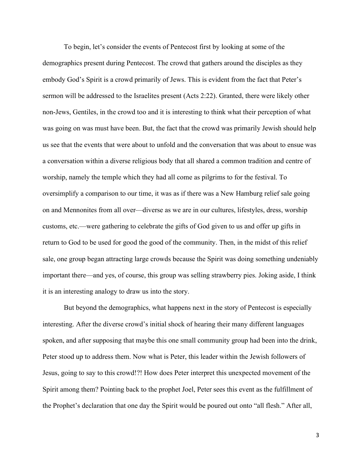To begin, let's consider the events of Pentecost first by looking at some of the demographics present during Pentecost. The crowd that gathers around the disciples as they embody God's Spirit is a crowd primarily of Jews. This is evident from the fact that Peter's sermon will be addressed to the Israelites present (Acts 2:22). Granted, there were likely other non-Jews, Gentiles, in the crowd too and it is interesting to think what their perception of what was going on was must have been. But, the fact that the crowd was primarily Jewish should help us see that the events that were about to unfold and the conversation that was about to ensue was a conversation within a diverse religious body that all shared a common tradition and centre of worship, namely the temple which they had all come as pilgrims to for the festival. To oversimplify a comparison to our time, it was as if there was a New Hamburg relief sale going on and Mennonites from all over—diverse as we are in our cultures, lifestyles, dress, worship customs, etc.—were gathering to celebrate the gifts of God given to us and offer up gifts in return to God to be used for good the good of the community. Then, in the midst of this relief sale, one group began attracting large crowds because the Spirit was doing something undeniably important there—and yes, of course, this group was selling strawberry pies. Joking aside, I think it is an interesting analogy to draw us into the story.

But beyond the demographics, what happens next in the story of Pentecost is especially interesting. After the diverse crowd's initial shock of hearing their many different languages spoken, and after supposing that maybe this one small community group had been into the drink, Peter stood up to address them. Now what is Peter, this leader within the Jewish followers of Jesus, going to say to this crowd!?! How does Peter interpret this unexpected movement of the Spirit among them? Pointing back to the prophet Joel, Peter sees this event as the fulfillment of the Prophet's declaration that one day the Spirit would be poured out onto "all flesh." After all,

3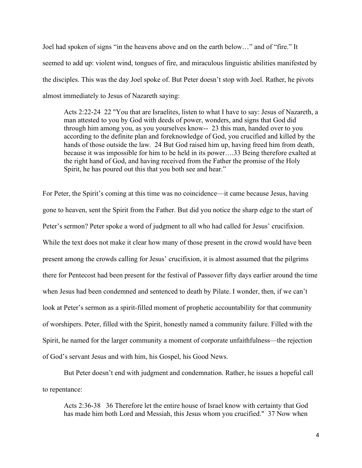Joel had spoken of signs "in the heavens above and on the earth below…" and of "fire." It seemed to add up: violent wind, tongues of fire, and miraculous linguistic abilities manifested by the disciples. This was the day Joel spoke of. But Peter doesn't stop with Joel. Rather, he pivots almost immediately to Jesus of Nazareth saying:

Acts 2:22-24 22 "You that are Israelites, listen to what I have to say: Jesus of Nazareth, a man attested to you by God with deeds of power, wonders, and signs that God did through him among you, as you yourselves know-- 23 this man, handed over to you according to the definite plan and foreknowledge of God, you crucified and killed by the hands of those outside the law. 24 But God raised him up, having freed him from death, because it was impossible for him to be held in its power….33 Being therefore exalted at the right hand of God, and having received from the Father the promise of the Holy Spirit, he has poured out this that you both see and hear."

For Peter, the Spirit's coming at this time was no coincidence—it came because Jesus, having gone to heaven, sent the Spirit from the Father. But did you notice the sharp edge to the start of Peter's sermon? Peter spoke a word of judgment to all who had called for Jesus' crucifixion. While the text does not make it clear how many of those present in the crowd would have been present among the crowds calling for Jesus' crucifixion, it is almost assumed that the pilgrims there for Pentecost had been present for the festival of Passover fifty days earlier around the time when Jesus had been condemned and sentenced to death by Pilate. I wonder, then, if we can't look at Peter's sermon as a spirit-filled moment of prophetic accountability for that community of worshipers. Peter, filled with the Spirit, honestly named a community failure. Filled with the Spirit, he named for the larger community a moment of corporate unfaithfulness—the rejection of God's servant Jesus and with him, his Gospel, his Good News.

But Peter doesn't end with judgment and condemnation. Rather, he issues a hopeful call to repentance:

Acts 2:36-38 36 Therefore let the entire house of Israel know with certainty that God has made him both Lord and Messiah, this Jesus whom you crucified." 37 Now when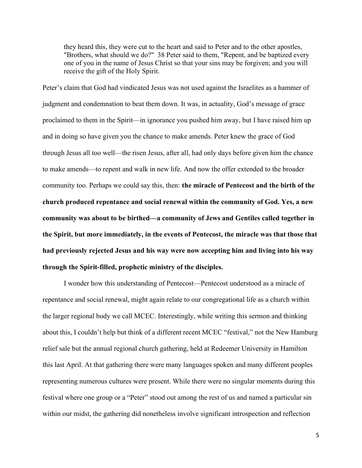they heard this, they were cut to the heart and said to Peter and to the other apostles, "Brothers, what should we do?" 38 Peter said to them, "Repent, and be baptized every one of you in the name of Jesus Christ so that your sins may be forgiven; and you will receive the gift of the Holy Spirit.

Peter's claim that God had vindicated Jesus was not used against the Israelites as a hammer of judgment and condemnation to beat them down. It was, in actuality, God's message of grace proclaimed to them in the Spirit—in ignorance you pushed him away, but I have raised him up and in doing so have given you the chance to make amends. Peter knew the grace of God through Jesus all too well—the risen Jesus, after all, had only days before given him the chance to make amends—to repent and walk in new life. And now the offer extended to the broader community too. Perhaps we could say this, then: the miracle of Pentecost and the birth of the church produced repentance and social renewal within the community of God. Yes, a new community was about to be birthed—a community of Jews and Gentiles called together in the Spirit, but more immediately, in the events of Pentecost, the miracle was that those that had previously rejected Jesus and his way were now accepting him and living into his way through the Spirit-filled, prophetic ministry of the disciples.

 I wonder how this understanding of Pentecost—Pentecost understood as a miracle of repentance and social renewal, might again relate to our congregational life as a church within the larger regional body we call MCEC. Interestingly, while writing this sermon and thinking about this, I couldn't help but think of a different recent MCEC "festival," not the New Hamburg relief sale but the annual regional church gathering, held at Redeemer University in Hamilton this last April. At that gathering there were many languages spoken and many different peoples representing numerous cultures were present. While there were no singular moments during this festival where one group or a "Peter" stood out among the rest of us and named a particular sin within our midst, the gathering did nonetheless involve significant introspection and reflection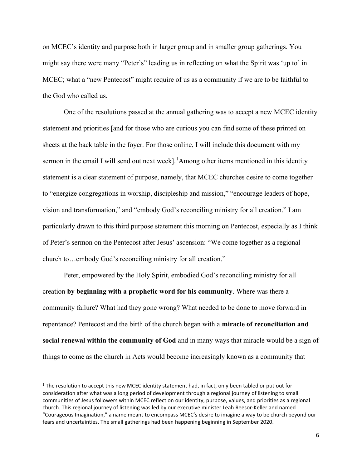on MCEC's identity and purpose both in larger group and in smaller group gatherings. You might say there were many "Peter's" leading us in reflecting on what the Spirit was 'up to' in MCEC; what a "new Pentecost" might require of us as a community if we are to be faithful to the God who called us.

One of the resolutions passed at the annual gathering was to accept a new MCEC identity statement and priorities [and for those who are curious you can find some of these printed on sheets at the back table in the foyer. For those online, I will include this document with my sermon in the email I will send out next week].<sup>1</sup>Among other items mentioned in this identity statement is a clear statement of purpose, namely, that MCEC churches desire to come together to "energize congregations in worship, discipleship and mission," "encourage leaders of hope, vision and transformation," and "embody God's reconciling ministry for all creation." I am particularly drawn to this third purpose statement this morning on Pentecost, especially as I think of Peter's sermon on the Pentecost after Jesus' ascension: "We come together as a regional church to…embody God's reconciling ministry for all creation."

 Peter, empowered by the Holy Spirit, embodied God's reconciling ministry for all creation by beginning with a prophetic word for his community. Where was there a community failure? What had they gone wrong? What needed to be done to move forward in repentance? Pentecost and the birth of the church began with a miracle of reconciliation and social renewal within the community of God and in many ways that miracle would be a sign of things to come as the church in Acts would become increasingly known as a community that

<sup>&</sup>lt;sup>1</sup> The resolution to accept this new MCEC identity statement had, in fact, only been tabled or put out for consideration after what was a long period of development through a regional journey of listening to small communities of Jesus followers within MCEC reflect on our identity, purpose, values, and priorities as a regional church. This regional journey of listening was led by our executive minister Leah Reesor-Keller and named "Courageous Imagination," a name meant to encompass MCEC's desire to imagine a way to be church beyond our fears and uncertainties. The small gatherings had been happening beginning in September 2020.